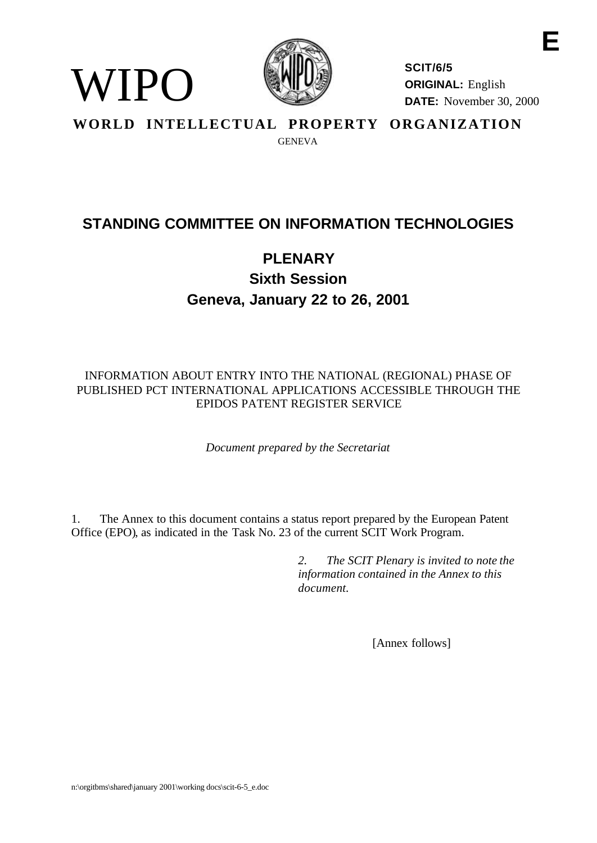

WIPO

**SCIT/6/5 ORIGINAL:** English **DATE:** November 30, 2000

**E**

**WORLD INTELLECTUAL PROPERTY ORGANIZATION GENEVA** 

# **STANDING COMMITTEE ON INFORMATION TECHNOLOGIES**

# **PI FNARY Sixth Session Geneva, January 22 to 26, 2001**

INFORMATION ABOUT ENTRY INTO THE NATIONAL (REGIONAL) PHASE OF PUBLISHED PCT INTERNATIONAL APPLICATIONS ACCESSIBLE THROUGH THE EPIDOS PATENT REGISTER SERVICE

*Document prepared by the Secretariat*

1. The Annex to this document contains a status report prepared by the European Patent Office (EPO), as indicated in the Task No. 23 of the current SCIT Work Program.

> *2. The SCIT Plenary is invited to note the information contained in the Annex to this document.*

> > [Annex follows]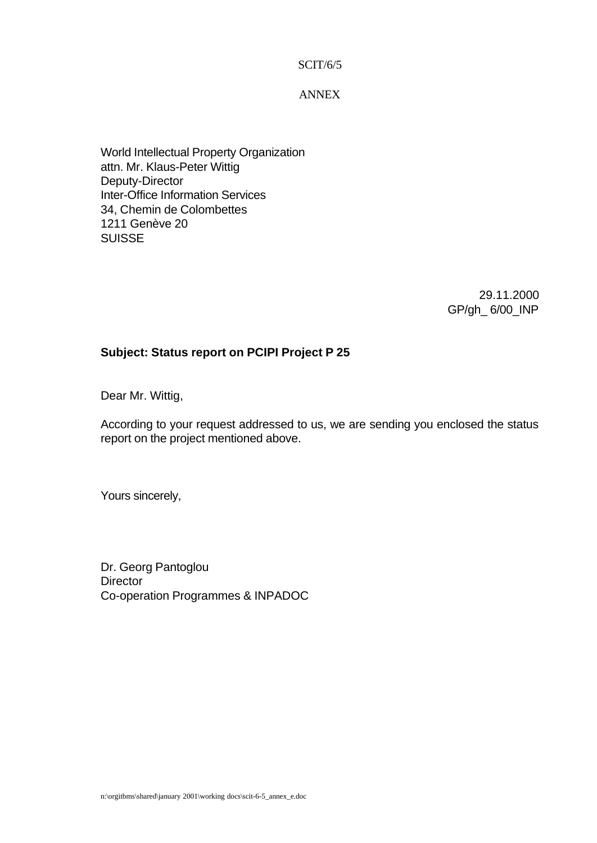SCIT/6/5

ANNEX

World Intellectual Property Organization attn. Mr. Klaus-Peter Wittig Deputy-Director Inter-Office Information Services 34, Chemin de Colombettes 1211 Genève 20 SUISSE

> 29.11.2000 GP/gh\_ 6/00\_INP

#### **Subject: Status report on PCIPI Project P 25**

Dear Mr. Wittig,

According to your request addressed to us, we are sending you enclosed the status report on the project mentioned above.

Yours sincerely,

Dr. Georg Pantoglou **Director** Co-operation Programmes & INPADOC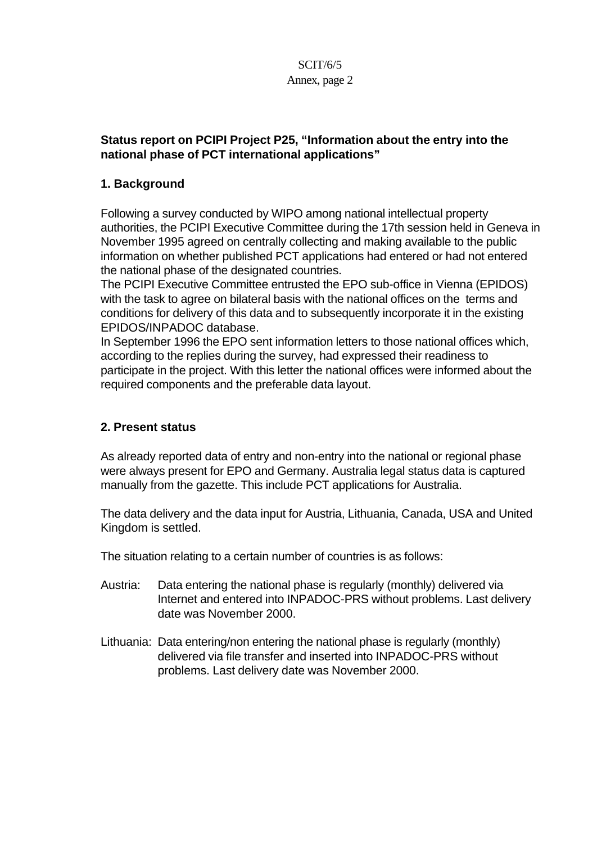#### SCIT/6/5 Annex, page 2

#### **Status report on PCIPI Project P25, "Information about the entry into the national phase of PCT international applications"**

### **1. Background**

Following a survey conducted by WIPO among national intellectual property authorities, the PCIPI Executive Committee during the 17th session held in Geneva in November 1995 agreed on centrally collecting and making available to the public information on whether published PCT applications had entered or had not entered the national phase of the designated countries.

The PCIPI Executive Committee entrusted the EPO sub-office in Vienna (EPIDOS) with the task to agree on bilateral basis with the national offices on the terms and conditions for delivery of this data and to subsequently incorporate it in the existing EPIDOS/INPADOC database.

In September 1996 the EPO sent information letters to those national offices which, according to the replies during the survey, had expressed their readiness to participate in the project. With this letter the national offices were informed about the required components and the preferable data layout.

#### **2. Present status**

As already reported data of entry and non-entry into the national or regional phase were always present for EPO and Germany. Australia legal status data is captured manually from the gazette. This include PCT applications for Australia.

The data delivery and the data input for Austria, Lithuania, Canada, USA and United Kingdom is settled.

The situation relating to a certain number of countries is as follows:

- Austria: Data entering the national phase is regularly (monthly) delivered via Internet and entered into INPADOC-PRS without problems. Last delivery date was November 2000.
- Lithuania: Data entering/non entering the national phase is regularly (monthly) delivered via file transfer and inserted into INPADOC-PRS without problems. Last delivery date was November 2000.